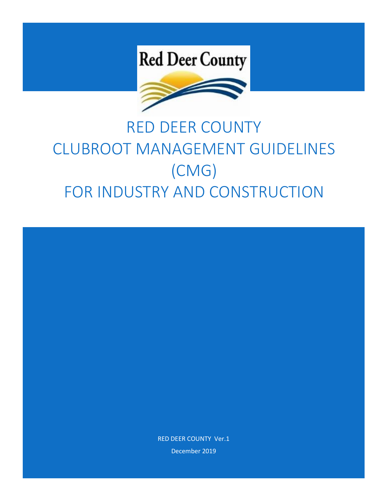# **Red Deer County**



# RED DEER COUNTY CLUBROOT MANAGEMENT GUIDELINES (CMG) FOR INDUSTRY AND CONSTRUCTION



December 2019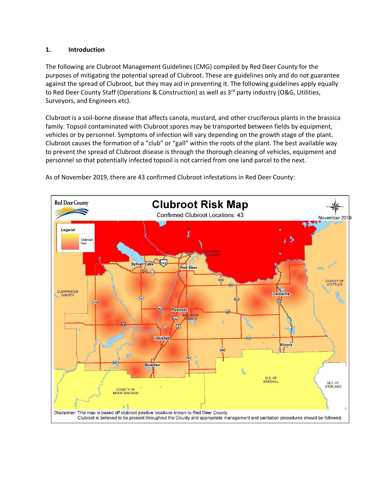#### **1. Introduction**

The following are Clubroot Management Guidelines (CMG) compiled by Red Deer County for the purposes of mitigating the potential spread of Clubroot. These are guidelines only and do not guarantee against the spread of Clubroot, but they may aid in preventing it. The following guidelines apply equally to Red Deer County Staff (Operations & Construction) as well as  $3<sup>rd</sup>$  party industry (O&G, Utilities, Surveyors, and Engineers etc).

Clubroot is a soil-borne disease that affects canola, mustard, and other cruciferous plants in the brassica family. Topsoil contaminated with Clubroot spores may be transported between fields by equipment, vehicles or by personnel. Symptoms of infection will vary depending on the growth stage of the plant. Clubroot causes the formation of a "club" or "gall" within the roots of the plant. The best available way to prevent the spread of Clubroot disease is through the thorough cleaning of vehicles, equipment and personnel so that potentially infected topsoil is not carried from one land parcel to the next.



As of November 2019, there are 43 confirmed Clubroot infestations in Red Deer County: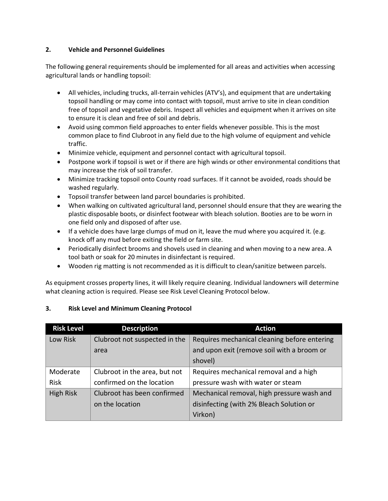#### **2. Vehicle and Personnel Guidelines**

The following general requirements should be implemented for all areas and activities when accessing agricultural lands or handling topsoil:

- All vehicles, including trucks, all-terrain vehicles (ATV's), and equipment that are undertaking topsoil handling or may come into contact with topsoil, must arrive to site in clean condition free of topsoil and vegetative debris. Inspect all vehicles and equipment when it arrives on site to ensure it is clean and free of soil and debris.
- Avoid using common field approaches to enter fields whenever possible. This is the most common place to find Clubroot in any field due to the high volume of equipment and vehicle traffic.
- Minimize vehicle, equipment and personnel contact with agricultural topsoil.
- Postpone work if topsoil is wet or if there are high winds or other environmental conditions that may increase the risk of soil transfer.
- Minimize tracking topsoil onto County road surfaces. If it cannot be avoided, roads should be washed regularly.
- Topsoil transfer between land parcel boundaries is prohibited.
- When walking on cultivated agricultural land, personnel should ensure that they are wearing the plastic disposable boots, or disinfect footwear with bleach solution. Booties are to be worn in one field only and disposed of after use.
- $\bullet$  If a vehicle does have large clumps of mud on it, leave the mud where you acquired it. (e.g. knock off any mud before exiting the field or farm site.
- Periodically disinfect brooms and shovels used in cleaning and when moving to a new area. A tool bath or soak for 20 minutes in disinfectant is required.
- Wooden rig matting is not recommended as it is difficult to clean/sanitize between parcels.

As equipment crosses property lines, it will likely require cleaning. Individual landowners will determine what cleaning action is required. Please see Risk Level Cleaning Protocol below.

| <b>Risk Level</b> | <b>Description</b>            | <b>Action</b>                                |  |  |
|-------------------|-------------------------------|----------------------------------------------|--|--|
| Low Risk          | Clubroot not suspected in the | Requires mechanical cleaning before entering |  |  |
|                   | area                          | and upon exit (remove soil with a broom or   |  |  |
|                   |                               | shovel)                                      |  |  |
| Moderate          | Clubroot in the area, but not | Requires mechanical removal and a high       |  |  |
| <b>Risk</b>       | confirmed on the location     | pressure wash with water or steam            |  |  |
| High Risk         | Clubroot has been confirmed   | Mechanical removal, high pressure wash and   |  |  |
|                   | on the location               | disinfecting (with 2% Bleach Solution or     |  |  |
|                   |                               | Virkon)                                      |  |  |

#### **3. Risk Level and Minimum Cleaning Protocol**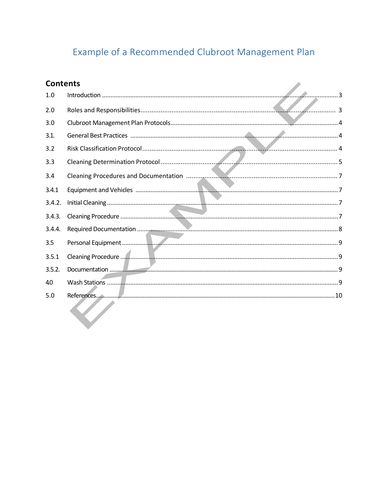# Example of a Recommended Clubroot Management Plan

| <b>Contents</b> |                 |
|-----------------|-----------------|
| 1.0             | $\sim$ $\sim$ 3 |
| 2.0             |                 |
| 3.0             |                 |
| 3.1.            |                 |
| 3.2             |                 |
| 3.3             |                 |
| 3.4             |                 |
| 3.4.1           |                 |
| 3.4.2.          |                 |
| 3.4.3.          |                 |
| 3.4.4.          |                 |
| 3.5             |                 |
| 3.5.1           |                 |
| 3.5.2.          |                 |
| 40              |                 |
| 5.0             |                 |
|                 |                 |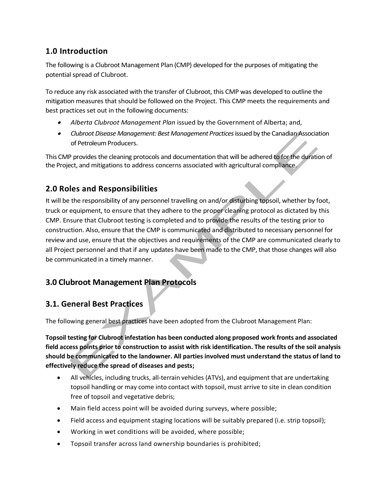# **1.0 Introduction**

The following is a Clubroot Management Plan (CMP) developed for the purposes of mitigating the potential spread of Clubroot.

To reduce any risk associated with the transfer of Clubroot, this CMP was developed to outline the mitigation measures that should be followed on the Project. This CMP meets the requirements and best practices set out in the following documents:

- . *Alberta Clubroot Management Plan* issued by the Government of Alberta; and,
- . *Clubroot Disease Management: Best Management Practices* issued by the Canadian Association of Petroleum Producers.

This CMP provides the cleaning protocols and documentation that will be adhered to for the duration of the Project, and mitigations to address concerns associated with agricultural compliance.

# **2.0 Roles and Responsibilities**

It will be the responsibility of any personnel travelling on and/or disturbing topsoil, whether by foot, truck or equipment, to ensure that they adhere to the proper cleaning protocol as dictated by this CMP. Ensure that Clubroot testing is completed and to provide the results of the testing prior to construction. Also, ensure that the CMP is communicated and distributed to necessary personnel for review and use, ensure that the objectives and requirements of the CMP are communicated clearly to all Project personnel and that if any updates have been made to the CMP, that those changes will also be communicated in a timely manner.

# **3.0 Clubroot Management Plan Protocols**

# **3.1. General Best Practices**

The following general best practices have been adopted from the Clubroot Management Plan:

**Topsoil testing for Clubroot infestation has been conducted along proposed work fronts and associated field access points prior to construction to assist with risk identification. The results of the soil analysis should be communicated to the landowner. All parties involved must understand the status of land to effectively reduce the spread of diseases and pests;**

- All vehicles, including trucks, all-terrain vehicles (ATVs), and equipment that are undertaking topsoil handling or may come into contact with topsoil, must arrive to site in clean condition free of topsoil and vegetative debris;
- Main field access point will be avoided during surveys, where possible;
- Field access and equipment staging locations will be suitably prepared (i.e. strip topsoil);
- Working in wet conditions will be avoided, where possible;
- Topsoil transfer across land ownership boundaries is prohibited;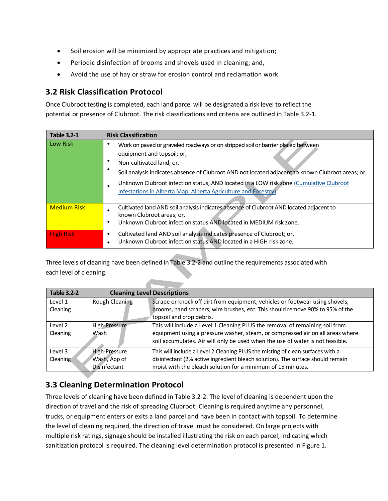- Soil erosion will be minimized by appropriate practices and mitigation;
- Periodic disinfection of brooms and shovels used in cleaning; and,
- Avoid the use of hay or straw for erosion control and reclamation work.

# **3.2 Risk Classification Protocol**

Once Clubroot testing is completed, each land parcel will be designated a risk level to reflect the potential or presence of Clubroot. The risk classifications and criteria are outlined in Table 3.2-1.

| <b>Table 3.2-1</b> | <b>Risk Classification</b>                                                                                                                                                                                                                                                                                                                                                                                  |
|--------------------|-------------------------------------------------------------------------------------------------------------------------------------------------------------------------------------------------------------------------------------------------------------------------------------------------------------------------------------------------------------------------------------------------------------|
| Low Risk           | Work on paved or graveled roadways or on stripped soil or barrier placed between<br>equipment and topsoil; or,<br>Non-cultivated land; or,<br>Soil analysis indicates absence of Clubroot AND not located adjacent to known Clubroot areas; or,<br>Unknown Clubroot infection status, AND located in a LOW risk zone (Cumulative Clubroot<br>Infestations in Alberta Map, Alberta Agriculture and Forestry) |
| <b>Medium Risk</b> | Cultivated land AND soil analysis indicates absence of Clubroot AND located adjacent to<br>known Clubroot areas; or,<br>Unknown Clubroot infection status AND located in MEDIUM risk zone.                                                                                                                                                                                                                  |
| <b>High Risk</b>   | Cultivated land AND soil analysis indicates presence of Clubroot; or,<br>٠<br>Unknown Clubroot infection status AND located in a HIGH risk zone.                                                                                                                                                                                                                                                            |

Three levels of cleaning have been defined in Table 3.2-2 and outline the requirements associated with each level of cleaning.

| <b>Table 3.2-2</b> | <b>Cleaning Level Descriptions</b> |                                                                                |  |  |  |
|--------------------|------------------------------------|--------------------------------------------------------------------------------|--|--|--|
| Level 1            | Rough Cleaning                     | Scrape or knock off dirt from equipment, vehicles or footwear using shovels,   |  |  |  |
| Cleaning           |                                    | brooms, hand scrapers, wire brushes, etc. This should remove 90% to 95% of the |  |  |  |
|                    |                                    | topsoil and crop debris.                                                       |  |  |  |
| Level 2            | High-Pressure                      | This will include a Level 1 Cleaning PLUS the removal of remaining soil from   |  |  |  |
| Cleaning           | Wash                               | equipment using a pressure washer, steam, or compressed air on all areas where |  |  |  |
|                    |                                    | soil accumulates. Air will only be used when the use of water is not feasible. |  |  |  |
| Level 3            | <b>High-Pressure</b>               | This will include a Level 2 Cleaning PLUS the misting of clean surfaces with a |  |  |  |
| Cleaning           | Wash, App of                       | disinfectant (2% active ingredient bleach solution). The surface should remain |  |  |  |
|                    | <b>Disinfectant</b>                | moist with the bleach solution for a minimum of 15 minutes.                    |  |  |  |

# **3.3 Cleaning Determination Protocol**

Three levels of cleaning have been defined in Table 3.2-2. The level of cleaning is dependent upon the direction of travel and the risk of spreading Clubroot. Cleaning is required anytime any personnel, trucks, or equipment enters or exits a land parcel and have been in contact with topsoil. To determine the level of cleaning required, the direction of travel must be considered. On large projects with multiple risk ratings, signage should be installed illustrating the risk on each parcel, indicating which sanitization protocol is required. The cleaning level determination protocol is presented in Figure 1.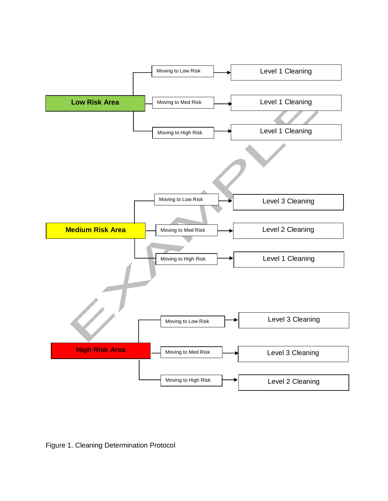

Figure 1. Cleaning Determination Protocol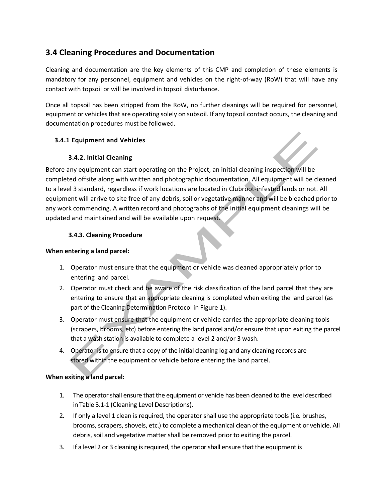# **3.4 Cleaning Procedures and Documentation**

Cleaning and documentation are the key elements of this CMP and completion of these elements is mandatory for any personnel, equipment and vehicles on the right-of-way (RoW) that will have any contact with topsoil or will be involved in topsoil disturbance.

Once all topsoil has been stripped from the RoW, no further cleanings will be required for personnel, equipment or vehicles that are operating solely on subsoil. If any topsoil contact occurs, the cleaning and documentation procedures must be followed.

#### **3.4.1 Equipment and Vehicles**

#### **3.4.2. Initial Cleaning**

Before any equipment can start operating on the Project, an initial cleaning inspection will be completed offsite along with written and photographic documentation. All equipment will be cleaned to a level 3 standard, regardless if work locations are located in Clubroot-infested lands or not. All equipment will arrive to site free of any debris, soil or vegetative manner and will be bleached prior to any work commencing. A written record and photographs of the initial equipment cleanings will be updated and maintained and will be available upon request.

#### **3.4.3. Cleaning Procedure**

#### **When entering a land parcel:**

- 1. Operator must ensure that the equipment or vehicle was cleaned appropriately prior to entering land parcel.
- 2. Operator must check and be aware of the risk classification of the land parcel that they are entering to ensure that an appropriate cleaning is completed when exiting the land parcel (as part of the Cleaning Determination Protocol in Figure 1).
- 3. Operator must ensure that the equipment or vehicle carries the appropriate cleaning tools (scrapers, brooms, etc) before entering the land parcel and/or ensure that upon exiting the parcel that a wash station is available to complete a level 2 and/or 3 wash.
- 4. Operator is to ensure that a copy of the initial cleaning log and any cleaning records are stored within the equipment or vehicle before entering the land parcel.

#### **When exiting a land parcel:**

- 1. The operator shall ensure that the equipment or vehicle has been cleaned to the level described in Table 3.1-1 (Cleaning Level Descriptions).
- 2. If only a level 1 clean is required, the operator shall use the appropriate tools (i.e*.* brushes, brooms, scrapers, shovels, etc.) to complete a mechanical clean of the equipment or vehicle. All debris, soil and vegetative matter shall be removed prior to exiting the parcel.
- 3. If a level 2 or 3 cleaning is required, the operator shall ensure that the equipment is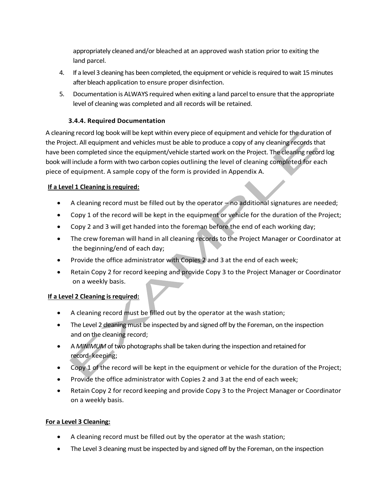appropriately cleaned and/or bleached at an approved wash station prior to exiting the land parcel.

- 4. If a level 3 cleaning has been completed, the equipment or vehicle is required to wait 15 minutes after bleach application to ensure proper disinfection.
- 5. Documentation is ALWAYS required when exiting a land parcel to ensure that the appropriate level of cleaning was completed and all records will be retained.

#### **3.4.4. Required Documentation**

A cleaning record log book will be kept within every piece of equipment and vehicle for the duration of the Project. All equipment and vehicles must be able to produce a copy of any cleaning records that have been completed since the equipment/vehicle started work on the Project. The cleaning record log book will include a form with two carbon copies outlining the level of cleaning completed for each piece of equipment. A sample copy of the form is provided in Appendix A.

#### **If a Level 1 Cleaning is required:**

- A cleaning record must be filled out by the operator no additional signatures are needed;
- Copy 1 of the record will be kept in the equipment or vehicle for the duration of the Project;
- Copy 2 and 3 will get handed into the foreman before the end of each working day;
- The crew foreman will hand in all cleaning records to the Project Manager or Coordinator at the beginning/end of each day;
- Provide the office administrator with Copies 2 and 3 at the end of each week;
- Retain Copy 2 for record keeping and provide Copy 3 to the Project Manager or Coordinator on a weekly basis.

#### **If a Level 2 Cleaning is required:**

- A cleaning record must be filled out by the operator at the wash station;
- The Level 2 cleaning must be inspected by and signed off by the Foreman, on the inspection and on the cleaning record;
- A *MINIMUM* of two photographs shall be taken during the inspection and retained for record- keeping;
- Copy 1 of the record will be kept in the equipment or vehicle for the duration of the Project;
- Provide the office administrator with Copies 2 and 3 at the end of each week;
- Retain Copy 2 for record keeping and provide Copy 3 to the Project Manager or Coordinator on a weekly basis.

#### **For a Level 3 Cleaning:**

- A cleaning record must be filled out by the operator at the wash station;
- The Level 3 cleaning must be inspected by and signed off by the Foreman, on the inspection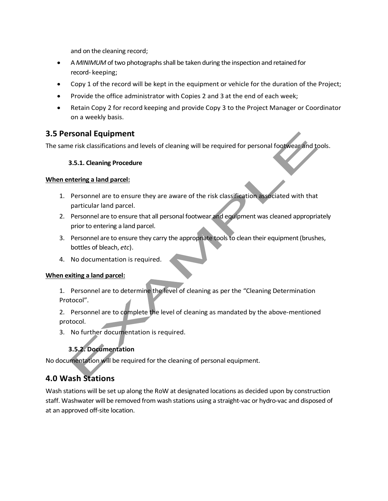and on the cleaning record;

- A *MINIMUM* of two photographs shall be taken during the inspection and retained for record- keeping;
- Copy 1 of the record will be kept in the equipment or vehicle for the duration of the Project;
- Provide the office administrator with Copies 2 and 3 at the end of each week;
- Retain Copy 2 for record keeping and provide Copy 3 to the Project Manager or Coordinator on a weekly basis.

### **3.5 Personal Equipment**

The same risk classifications and levels of cleaning will be required for personal footwear and tools.

#### **3.5.1. Cleaning Procedure**

#### **When entering a land parcel:**

- 1. Personnel are to ensure they are aware of the risk classification associated with that particular land parcel.
- 2. Personnel are to ensure that all personal footwear and equipment was cleaned appropriately prior to entering a land parcel.
- 3. Personnel are to ensure they carry the appropriate tools to clean their equipment (brushes, bottles of bleach, *etc*).
- 4. No documentation is required.

#### **When exiting a land parcel:**

1. Personnel are to determine the level of cleaning as per the "Cleaning Determination Protocol".

2. Personnel are to complete the level of cleaning as mandated by the above-mentioned protocol.

3. No further documentation is required.

# **3.5.2. Documentation**

No documentation will be required for the cleaning of personal equipment.

# **4.0 Wash Stations**

Wash stations will be set up along the RoW at designated locations as decided upon by construction staff. Washwater will be removed from wash stations using a straight-vac or hydro-vac and disposed of at an approved off-site location.